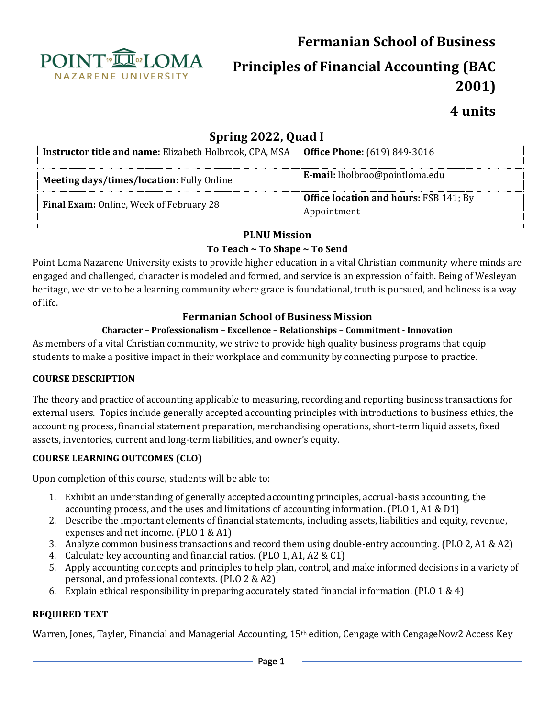



**Principles of Financial Accounting (BAC 2001)**

# **4 units**

# **Spring 2022, Quad I**

| <b>Instructor title and name:</b> Elizabeth Holbrook, CPA, MSA | <b>Office Phone:</b> (619) 849-3016                          |  |  |
|----------------------------------------------------------------|--------------------------------------------------------------|--|--|
| <b>Meeting days/times/location: Fully Online</b>               | E-mail: lholbroo@pointloma.edu                               |  |  |
| <b>Final Exam:</b> Online, Week of February 28                 | <b>Office location and hours: FSB 141; By</b><br>Appointment |  |  |

#### **PLNU Mission**

#### **To Teach ~ To Shape ~ To Send**

Point Loma Nazarene University exists to provide higher education in a vital Christian community where minds are engaged and challenged, character is modeled and formed, and service is an expression of faith. Being of Wesleyan heritage, we strive to be a learning community where grace is foundational, truth is pursued, and holiness is a way of life.

# **Fermanian School of Business Mission**

#### **Character – Professionalism – Excellence – Relationships – Commitment - Innovation**

As members of a vital Christian community, we strive to provide high quality business programs that equip students to make a positive impact in their workplace and community by connecting purpose to practice.

#### **COURSE DESCRIPTION**

The theory and practice of accounting applicable to measuring, recording and reporting business transactions for external users. Topics include generally accepted accounting principles with introductions to business ethics, the accounting process, financial statement preparation, merchandising operations, short-term liquid assets, fixed assets, inventories, current and long-term liabilities, and owner's equity.

#### **COURSE LEARNING OUTCOMES (CLO)**

Upon completion of this course, students will be able to:

- 1. Exhibit an understanding of generally accepted accounting principles, accrual-basis accounting, the accounting process, and the uses and limitations of accounting information. (PLO 1, A1 & D1)
- 2. Describe the important elements of financial statements, including assets, liabilities and equity, revenue, expenses and net income. (PLO 1 & A1)
- 3. Analyze common business transactions and record them using double-entry accounting. (PLO 2, A1 & A2)
- 4. Calculate key accounting and financial ratios. (PLO 1, A1, A2 & C1)
- 5. Apply accounting concepts and principles to help plan, control, and make informed decisions in a variety of personal, and professional contexts. (PLO 2 & A2)
- 6. Explain ethical responsibility in preparing accurately stated financial information. (PLO 1 & 4)

#### **REQUIRED TEXT**

Warren, Jones, Tayler, Financial and Managerial Accounting, 15<sup>th</sup> edition, Cengage with CengageNow2 Access Key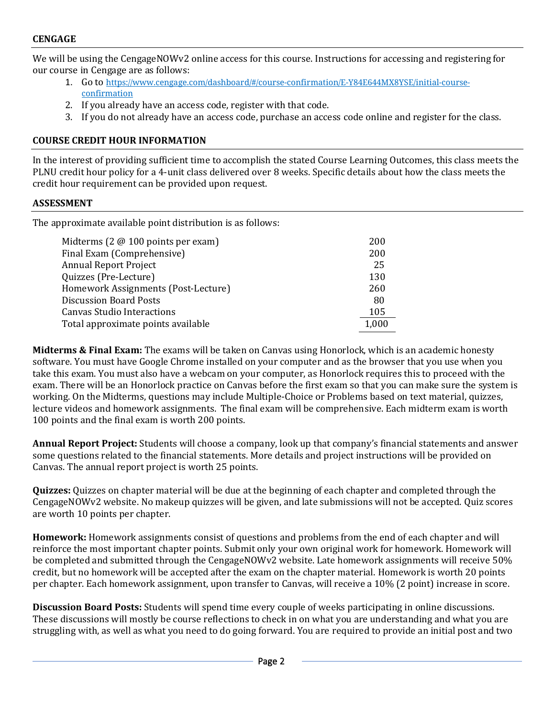We will be using the CengageNOWv2 online access for this course. Instructions for accessing and registering for our course in Cengage are as follows:

- 1. Go to [https://www.cengage.com/dashboard/#/course-confirmation/E-Y84E644MX8YSE/initial-course](https://www.cengage.com/dashboard/#/course-confirmation/E-Y84E644MX8YSE/initial-course-confirmation)[confirmation](https://www.cengage.com/dashboard/#/course-confirmation/E-Y84E644MX8YSE/initial-course-confirmation)
- 2. If you already have an access code, register with that code.
- 3. If you do not already have an access code, purchase an access code online and register for the class.

#### **COURSE CREDIT HOUR INFORMATION**

In the interest of providing sufficient time to accomplish the stated Course Learning Outcomes, this class meets the PLNU credit hour policy for a 4-unit class delivered over 8 weeks. Specific details about how the class meets the credit hour requirement can be provided upon request.

#### **ASSESSMENT**

The approximate available point distribution is as follows:

| Midterms ( $2 \text{ } @$ 100 points per exam) | 200   |
|------------------------------------------------|-------|
| Final Exam (Comprehensive)                     | 200   |
| <b>Annual Report Project</b>                   | 25    |
| Quizzes (Pre-Lecture)                          | 130   |
| Homework Assignments (Post-Lecture)            | 260   |
| <b>Discussion Board Posts</b>                  | -80   |
| Canvas Studio Interactions                     | 105   |
| Total approximate points available             | 1,000 |

**Midterms & Final Exam:** The exams will be taken on Canvas using Honorlock, which is an academic honesty software. You must have Google Chrome installed on your computer and as the browser that you use when you take this exam. You must also have a webcam on your computer, as Honorlock requires this to proceed with the exam. There will be an Honorlock practice on Canvas before the first exam so that you can make sure the system is working. On the Midterms, questions may include Multiple-Choice or Problems based on text material, quizzes, lecture videos and homework assignments. The final exam will be comprehensive. Each midterm exam is worth 100 points and the final exam is worth 200 points.

**Annual Report Project:** Students will choose a company, look up that company's financial statements and answer some questions related to the financial statements. More details and project instructions will be provided on Canvas. The annual report project is worth 25 points.

**Quizzes:** Quizzes on chapter material will be due at the beginning of each chapter and completed through the CengageNOWv2 website. No makeup quizzes will be given, and late submissions will not be accepted. Quiz scores are worth 10 points per chapter.

**Homework:** Homework assignments consist of questions and problems from the end of each chapter and will reinforce the most important chapter points. Submit only your own original work for homework. Homework will be completed and submitted through the CengageNOWv2 website. Late homework assignments will receive 50% credit, but no homework will be accepted after the exam on the chapter material. Homework is worth 20 points per chapter. Each homework assignment, upon transfer to Canvas, will receive a 10% (2 point) increase in score.

**Discussion Board Posts:** Students will spend time every couple of weeks participating in online discussions. These discussions will mostly be course reflections to check in on what you are understanding and what you are struggling with, as well as what you need to do going forward. You are required to provide an initial post and two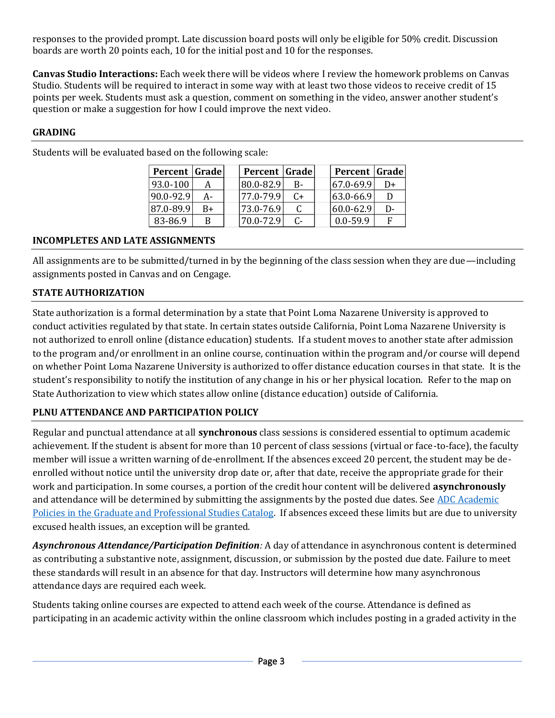responses to the provided prompt. Late discussion board posts will only be eligible for 50% credit. Discussion boards are worth 20 points each, 10 for the initial post and 10 for the responses.

**Canvas Studio Interactions:** Each week there will be videos where I review the homework problems on Canvas Studio. Students will be required to interact in some way with at least two those videos to receive credit of 15 points per week. Students must ask a question, comment on something in the video, answer another student's question or make a suggestion for how I could improve the next video.

# **GRADING**

| <b>Percent Grade</b> |    | Percent Grade |           | Percent Grade   |       |
|----------------------|----|---------------|-----------|-----------------|-------|
| 93.0-100             |    | 180.0-82.9    | <b>B-</b> | 67.0-69.9       | D+    |
| 90.0-92.9            | А- | 177.0-79.9    | C+        | $ 63.0 - 66.9 $ |       |
| 87.0-89.9            | B+ | 173.0-76.9    |           | 60.0-62.9       | $D -$ |
| 83-86.9              | B  | 70.0-72.9     | C-        | $0.0 - 59.9$    | F     |

Students will be evaluated based on the following scale:

#### **INCOMPLETES AND LATE ASSIGNMENTS**

All assignments are to be submitted/turned in by the beginning of the class session when they are due—including assignments posted in Canvas and on Cengage.

# **STATE AUTHORIZATION**

State authorization is a formal determination by a state that Point Loma Nazarene University is approved to conduct activities regulated by that state. In certain states outside California, Point Loma Nazarene University is not authorized to enroll online (distance education) students. If a student moves to another state after admission to the program and/or enrollment in an online course, continuation within the program and/or course will depend on whether Point Loma Nazarene University is authorized to offer distance education courses in that state. It is the student's responsibility to notify the institution of any change in his or her physical location. Refer to the map on [State Authorization](https://www.pointloma.edu/offices/office-institutional-effectiveness-research/disclosures) to view which states allow online (distance education) outside of California.

#### **PLNU ATTENDANCE AND PARTICIPATION POLICY**

Regular and punctual attendance at all **synchronous** class sessions is considered essential to optimum academic achievement. If the student is absent for more than 10 percent of class sessions (virtual or face-to-face), the faculty member will issue a written warning of de-enrollment. If the absences exceed 20 percent, the student may be deenrolled without notice until the university drop date or, after that date, receive the appropriate grade for their work and participation. In some courses, a portion of the credit hour content will be delivered **asynchronously** and attendance will be determined by submitting the assignments by the posted due dates. See [ADC Academic](https://catalog.pointloma.edu/content.php?catoid=54&navoid=3033#acadhonesty)  [Policies in the Graduate and Professional Studies Catalog.](https://catalog.pointloma.edu/content.php?catoid=54&navoid=3033#acadhonesty) If absences exceed these limits but are due to university excused health issues, an exception will be granted.

*Asynchronous Attendance/Participation Definition:* A day of attendance in asynchronous content is determined as contributing a substantive note, assignment, discussion, or submission by the posted due date. Failure to meet these standards will result in an absence for that day. Instructors will determine how many asynchronous attendance days are required each week.

Students taking online courses are expected to attend each week of the course. Attendance is defined as participating in an academic activity within the online classroom which includes posting in a graded activity in the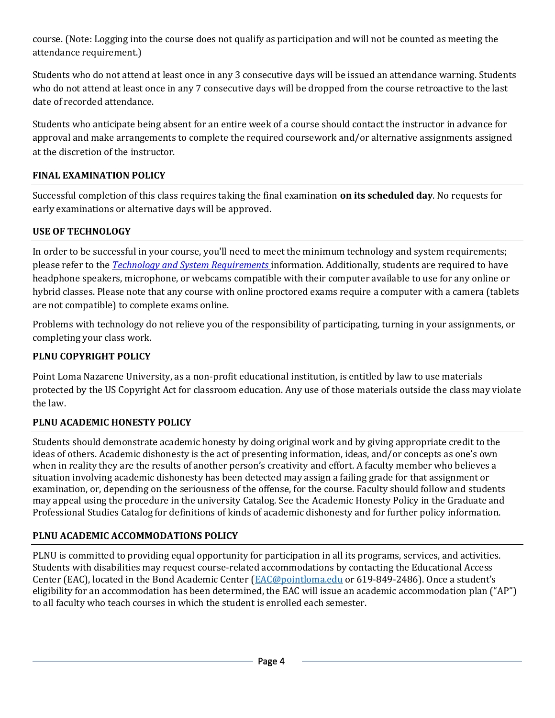course. (Note: Logging into the course does not qualify as participation and will not be counted as meeting the attendance requirement.)

Students who do not attend at least once in any 3 consecutive days will be issued an attendance warning. Students who do not attend at least once in any 7 consecutive days will be dropped from the course retroactive to the last date of recorded attendance.

Students who anticipate being absent for an entire week of a course should contact the instructor in advance for approval and make arrangements to complete the required coursework and/or alternative assignments assigned at the discretion of the instructor.

#### **FINAL EXAMINATION POLICY**

Successful completion of this class requires taking the final examination **on its scheduled day**. No requests for early examinations or alternative days will be approved.

#### **USE OF TECHNOLOGY**

In order to be successful in your course, you'll need to meet the minimum technology and system requirements; please refer to the *[Technology and System Requirements](https://help.pointloma.edu/TDClient/1808/Portal/KB/ArticleDet?ID=108349)* information. Additionally, students are required to have headphone speakers, microphone, or webcams compatible with their computer available to use for any online or hybrid classes. Please note that any course with online proctored exams require a computer with a camera (tablets are not compatible) to complete exams online.

Problems with technology do not relieve you of the responsibility of participating, turning in your assignments, or completing your class work.

#### **PLNU COPYRIGHT POLICY**

Point Loma Nazarene University, as a non-profit educational institution, is entitled by law to use materials protected by the US Copyright Act for classroom education. Any use of those materials outside the class may violate the law.

#### **PLNU ACADEMIC HONESTY POLICY**

Students should demonstrate academic honesty by doing original work and by giving appropriate credit to the ideas of others. Academic dishonesty is the act of presenting information, ideas, and/or concepts as one's own when in reality they are the results of another person's creativity and effort. A faculty member who believes a situation involving academic dishonesty has been detected may assign a failing grade for that assignment or examination, or, depending on the seriousness of the offense, for the course. Faculty should follow and students may appeal using the procedure in the university Catalog. See the [Academic Honesty Policy](https://catalog.pointloma.edu/content.php?catoid=54&navoid=3048#Academic_Honesty) in the Graduate and Professional Studies Catalog for definitions of kinds of academic dishonesty and for further policy information.

#### **PLNU ACADEMIC ACCOMMODATIONS POLICY**

PLNU is committed to providing equal opportunity for participation in all its programs, services, and activities. Students with disabilities may request course-related accommodations by contacting the Educational Access Center (EAC), located in the Bond Academic Center [\(EAC@pointloma.edu](mailto:EAC@pointloma.edu) or 619-849-2486). Once a student's eligibility for an accommodation has been determined, the EAC will issue an academic accommodation plan ("AP") to all faculty who teach courses in which the student is enrolled each semester.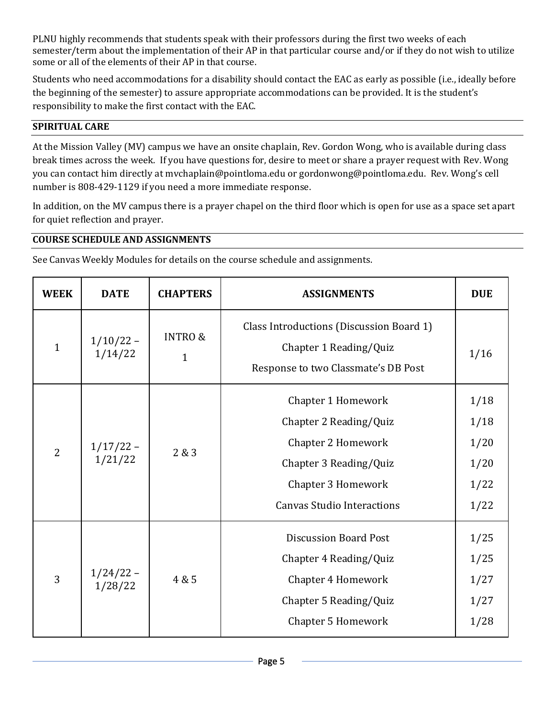PLNU highly recommends that students speak with their professors during the first two weeks of each semester/term about the implementation of their AP in that particular course and/or if they do not wish to utilize some or all of the elements of their AP in that course.

Students who need accommodations for a disability should contact the EAC as early as possible (i.e., ideally before the beginning of the semester) to assure appropriate accommodations can be provided. It is the student's responsibility to make the first contact with the EAC.

### **SPIRITUAL CARE**

At the Mission Valley (MV) campus we have an onsite chaplain, Rev. Gordon Wong, who is available during class break times across the week. If you have questions for, desire to meet or share a prayer request with Rev. Wong you can contact him directly at [mvchaplain@pointloma.edu](mailto:mvchaplain@pointloma.edu) or [gordonwong@pointloma.edu.](mailto:gordonwong@pointloma.edu) Rev. Wong's cell number is 808-429-1129 if you need a more immediate response.

In addition, on the MV campus there is a prayer chapel on the third floor which is open for use as a space set apart for quiet reflection and prayer.

#### **COURSE SCHEDULE AND ASSIGNMENTS**

See Canvas Weekly Modules for details on the course schedule and assignments.

| <b>WEEK</b>    | <b>DATE</b>              | <b>CHAPTERS</b>                    | <b>ASSIGNMENTS</b>                                                                                                                                      | <b>DUE</b>                                   |
|----------------|--------------------------|------------------------------------|---------------------------------------------------------------------------------------------------------------------------------------------------------|----------------------------------------------|
| $\mathbf{1}$   | $1/10/22 -$<br>1/14/22   | <b>INTRO &amp;</b><br>$\mathbf{1}$ | Class Introductions (Discussion Board 1)<br>Chapter 1 Reading/Quiz<br>Response to two Classmate's DB Post                                               | 1/16                                         |
| $\overline{2}$ | $1/17/22 -$<br>$1/21/22$ | 2&3                                | Chapter 1 Homework<br>Chapter 2 Reading/Quiz<br>Chapter 2 Homework<br>Chapter 3 Reading/Quiz<br>Chapter 3 Homework<br><b>Canvas Studio Interactions</b> | 1/18<br>1/18<br>1/20<br>1/20<br>1/22<br>1/22 |
| 3              | $1/24/22 -$<br>$1/28/22$ | 4 & 5                              | <b>Discussion Board Post</b><br>Chapter 4 Reading/Quiz<br>Chapter 4 Homework<br>Chapter 5 Reading/Quiz<br><b>Chapter 5 Homework</b>                     | 1/25<br>1/25<br>1/27<br>1/27<br>1/28         |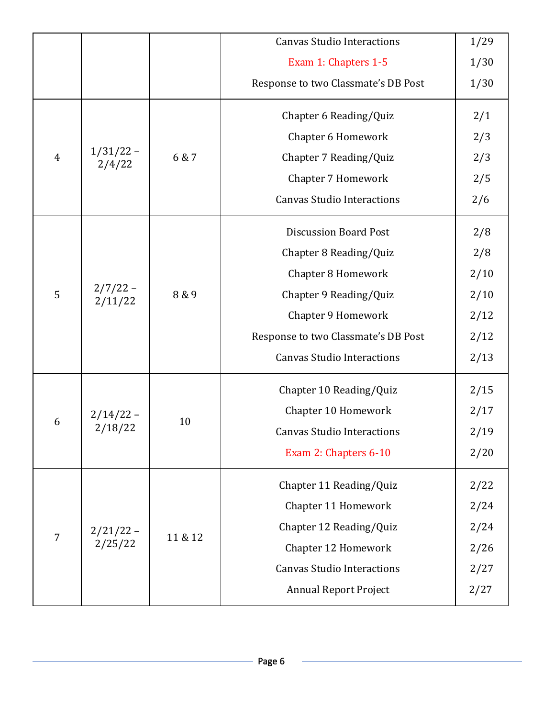|                |                                    |         | <b>Canvas Studio Interactions</b>   | 1/29 |
|----------------|------------------------------------|---------|-------------------------------------|------|
|                |                                    |         | Exam 1: Chapters 1-5                | 1/30 |
|                |                                    |         | Response to two Classmate's DB Post | 1/30 |
|                |                                    |         | Chapter 6 Reading/Quiz              | 2/1  |
|                |                                    | 6 & 7   | Chapter 6 Homework                  | 2/3  |
| 4              | $\frac{1}{31/22} - \frac{2}{4/22}$ |         | Chapter 7 Reading/Quiz              | 2/3  |
|                |                                    |         | Chapter 7 Homework                  | 2/5  |
|                |                                    |         | <b>Canvas Studio Interactions</b>   | 2/6  |
|                |                                    | 8 & 9   | <b>Discussion Board Post</b>        | 2/8  |
|                |                                    |         | Chapter 8 Reading/Quiz              | 2/8  |
|                |                                    |         | <b>Chapter 8 Homework</b>           | 2/10 |
| 5              | $2/7/22 -$<br>2/11/22              |         | Chapter 9 Reading/Quiz              | 2/10 |
|                |                                    |         | Chapter 9 Homework                  | 2/12 |
|                |                                    |         | Response to two Classmate's DB Post | 2/12 |
|                |                                    |         | <b>Canvas Studio Interactions</b>   | 2/13 |
|                |                                    | 10      | Chapter 10 Reading/Quiz             | 2/15 |
|                |                                    |         | Chapter 10 Homework                 | 2/17 |
| 6              | 2/14/22 -<br>2/18/22               |         | <b>Canvas Studio Interactions</b>   | 2/19 |
|                |                                    |         | Exam 2: Chapters 6-10               | 2/20 |
|                |                                    | 11 & 12 | Chapter 11 Reading/Quiz             | 2/22 |
|                | $2/21/22 -$<br>2/25/22             |         | Chapter 11 Homework                 | 2/24 |
|                |                                    |         | Chapter 12 Reading/Quiz             | 2/24 |
| $\overline{7}$ |                                    |         | Chapter 12 Homework                 | 2/26 |
|                |                                    |         | <b>Canvas Studio Interactions</b>   | 2/27 |
|                |                                    |         | <b>Annual Report Project</b>        | 2/27 |
|                |                                    |         |                                     |      |